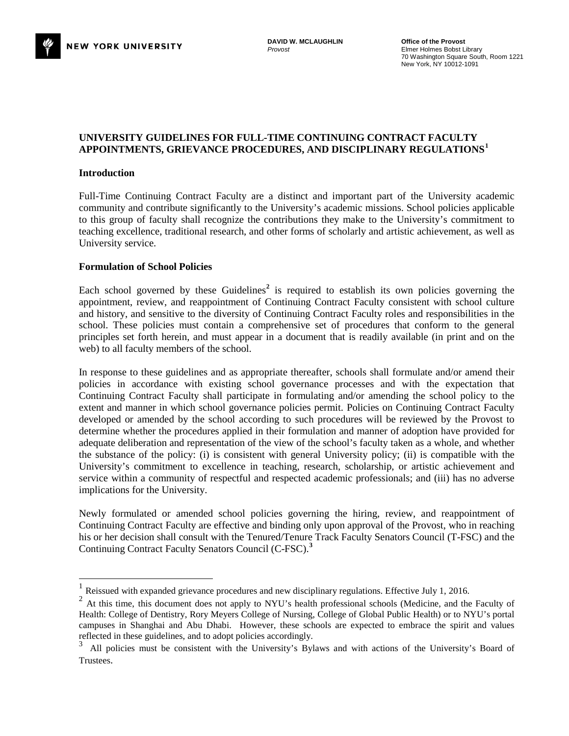# **UNIVERSITY GUIDELINES FOR FULL-TIME CONTINUING CONTRACT FACULTY APPOINTMENTS, GRIEVANCE PROCEDURES, AND DISCIPLINARY REGULATIONS[1](#page-0-0)**

## **Introduction**

Full-Time Continuing Contract Faculty are a distinct and important part of the University academic community and contribute significantly to the University's academic missions. School policies applicable to this group of faculty shall recognize the contributions they make to the University's commitment to teaching excellence, traditional research, and other forms of scholarly and artistic achievement, as well as University service.

## **Formulation of School Policies**

Each school governed by these Guidelines<sup>[2](#page-0-1)</sup> is required to establish its own policies governing the appointment, review, and reappointment of Continuing Contract Faculty consistent with school culture and history, and sensitive to the diversity of Continuing Contract Faculty roles and responsibilities in the school. These policies must contain a comprehensive set of procedures that conform to the general principles set forth herein, and must appear in a document that is readily available (in print and on the web) to all faculty members of the school.

In response to these guidelines and as appropriate thereafter, schools shall formulate and/or amend their policies in accordance with existing school governance processes and with the expectation that Continuing Contract Faculty shall participate in formulating and/or amending the school policy to the extent and manner in which school governance policies permit. Policies on Continuing Contract Faculty developed or amended by the school according to such procedures will be reviewed by the Provost to determine whether the procedures applied in their formulation and manner of adoption have provided for adequate deliberation and representation of the view of the school's faculty taken as a whole, and whether the substance of the policy: (i) is consistent with general University policy; (ii) is compatible with the University's commitment to excellence in teaching, research, scholarship, or artistic achievement and service within a community of respectful and respected academic professionals; and (iii) has no adverse implications for the University.

Newly formulated or amended school policies governing the hiring, review, and reappointment of Continuing Contract Faculty are effective and binding only upon approval of the Provost, who in reaching his or her decision shall consult with the Tenured/Tenure Track Faculty Senators Council (T-FSC) and the Continuing Contract Faculty Senators Council (C-FSC). **[3](#page-0-2)**

<span id="page-0-0"></span><sup>&</sup>lt;sup>1</sup> Reissued with expanded grievance procedures and new disciplinary regulations. Effective July 1, 2016.<br><sup>2</sup> At this time, this document does not apply to NYU's health professional schools (Medicine, and the

<span id="page-0-1"></span><sup>2</sup> At this time, this document does not apply to NYU's health professional schools (Medicine, and the Faculty of Health: College of Dentistry, Rory Meyers College of Nursing, College of Global Public Health) or to NYU's portal campuses in Shanghai and Abu Dhabi. However, these schools are expected to embrace the spirit and values reflected in these guidelines, and to adopt policies accordingly.

<span id="page-0-2"></span><sup>3</sup>All policies must be consistent with the University's Bylaws and with actions of the University's Board of Trustees.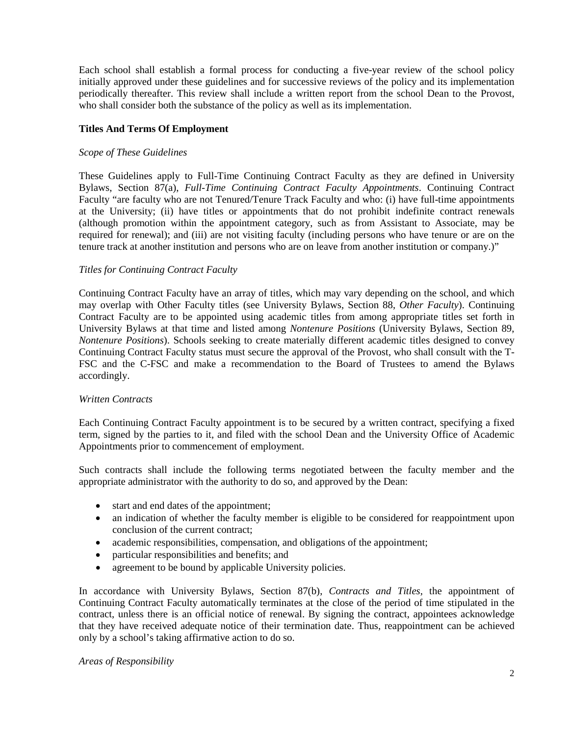Each school shall establish a formal process for conducting a five-year review of the school policy initially approved under these guidelines and for successive reviews of the policy and its implementation periodically thereafter. This review shall include a written report from the school Dean to the Provost, who shall consider both the substance of the policy as well as its implementation.

## **Titles And Terms Of Employment**

## *Scope of These Guidelines*

These Guidelines apply to Full-Time Continuing Contract Faculty as they are defined in University Bylaws, Section 87(a), *Full-Time Continuing Contract Faculty Appointments*. Continuing Contract Faculty "are faculty who are not Tenured/Tenure Track Faculty and who: (i) have full-time appointments at the University; (ii) have titles or appointments that do not prohibit indefinite contract renewals (although promotion within the appointment category, such as from Assistant to Associate, may be required for renewal); and (iii) are not visiting faculty (including persons who have tenure or are on the tenure track at another institution and persons who are on leave from another institution or company.)"

## *Titles for Continuing Contract Faculty*

Continuing Contract Faculty have an array of titles, which may vary depending on the school, and which may overlap with Other Faculty titles (see University Bylaws, Section 88, *Other Faculty*). Continuing Contract Faculty are to be appointed using academic titles from among appropriate titles set forth in University Bylaws at that time and listed among *Nontenure Positions* (University Bylaws, Section 89, *Nontenure Positions*). Schools seeking to create materially different academic titles designed to convey Continuing Contract Faculty status must secure the approval of the Provost, who shall consult with the T-FSC and the C-FSC and make a recommendation to the Board of Trustees to amend the Bylaws accordingly.

#### *Written Contracts*

Each Continuing Contract Faculty appointment is to be secured by a written contract, specifying a fixed term, signed by the parties to it, and filed with the school Dean and the University Office of Academic Appointments prior to commencement of employment.

Such contracts shall include the following terms negotiated between the faculty member and the appropriate administrator with the authority to do so, and approved by the Dean:

- start and end dates of the appointment;
- an indication of whether the faculty member is eligible to be considered for reappointment upon conclusion of the current contract;
- academic responsibilities, compensation, and obligations of the appointment;
- particular responsibilities and benefits; and
- agreement to be bound by applicable University policies.

In accordance with University Bylaws, Section 87(b), *Contracts and Titles,* the appointment of Continuing Contract Faculty automatically terminates at the close of the period of time stipulated in the contract, unless there is an official notice of renewal. By signing the contract, appointees acknowledge that they have received adequate notice of their termination date. Thus, reappointment can be achieved only by a school's taking affirmative action to do so.

#### *Areas of Responsibility*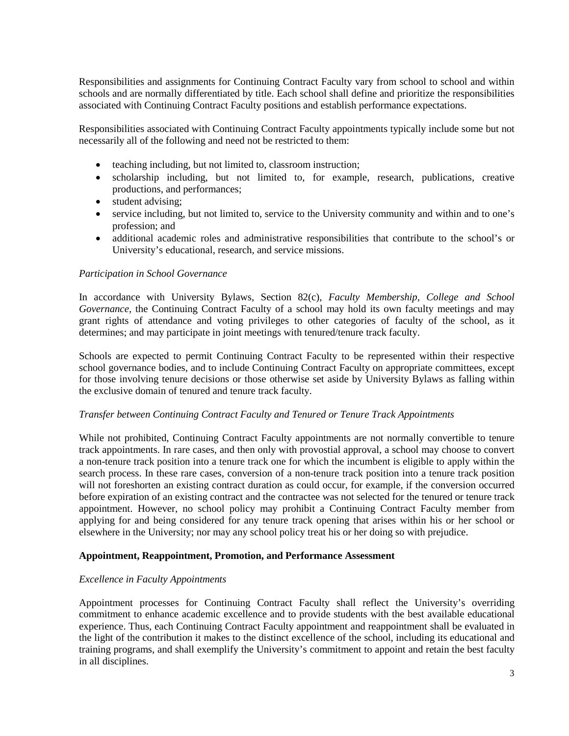Responsibilities and assignments for Continuing Contract Faculty vary from school to school and within schools and are normally differentiated by title. Each school shall define and prioritize the responsibilities associated with Continuing Contract Faculty positions and establish performance expectations.

Responsibilities associated with Continuing Contract Faculty appointments typically include some but not necessarily all of the following and need not be restricted to them:

- teaching including, but not limited to, classroom instruction;
- scholarship including, but not limited to, for example, research, publications, creative productions, and performances;
- student advising;
- service including, but not limited to, service to the University community and within and to one's profession; and
- additional academic roles and administrative responsibilities that contribute to the school's or University's educational, research, and service missions.

# *Participation in School Governance*

In accordance with University Bylaws, Section 82(c), *Faculty Membership, College and School Governance,* the Continuing Contract Faculty of a school may hold its own faculty meetings and may grant rights of attendance and voting privileges to other categories of faculty of the school, as it determines; and may participate in joint meetings with tenured/tenure track faculty.

Schools are expected to permit Continuing Contract Faculty to be represented within their respective school governance bodies, and to include Continuing Contract Faculty on appropriate committees, except for those involving tenure decisions or those otherwise set aside by University Bylaws as falling within the exclusive domain of tenured and tenure track faculty.

# *Transfer between Continuing Contract Faculty and Tenured or Tenure Track Appointments*

While not prohibited, Continuing Contract Faculty appointments are not normally convertible to tenure track appointments. In rare cases, and then only with provostial approval, a school may choose to convert a non-tenure track position into a tenure track one for which the incumbent is eligible to apply within the search process. In these rare cases, conversion of a non-tenure track position into a tenure track position will not foreshorten an existing contract duration as could occur, for example, if the conversion occurred before expiration of an existing contract and the contractee was not selected for the tenured or tenure track appointment. However, no school policy may prohibit a Continuing Contract Faculty member from applying for and being considered for any tenure track opening that arises within his or her school or elsewhere in the University; nor may any school policy treat his or her doing so with prejudice.

# **Appointment, Reappointment, Promotion, and Performance Assessment**

# *Excellence in Faculty Appointments*

Appointment processes for Continuing Contract Faculty shall reflect the University's overriding commitment to enhance academic excellence and to provide students with the best available educational experience. Thus, each Continuing Contract Faculty appointment and reappointment shall be evaluated in the light of the contribution it makes to the distinct excellence of the school, including its educational and training programs, and shall exemplify the University's commitment to appoint and retain the best faculty in all disciplines.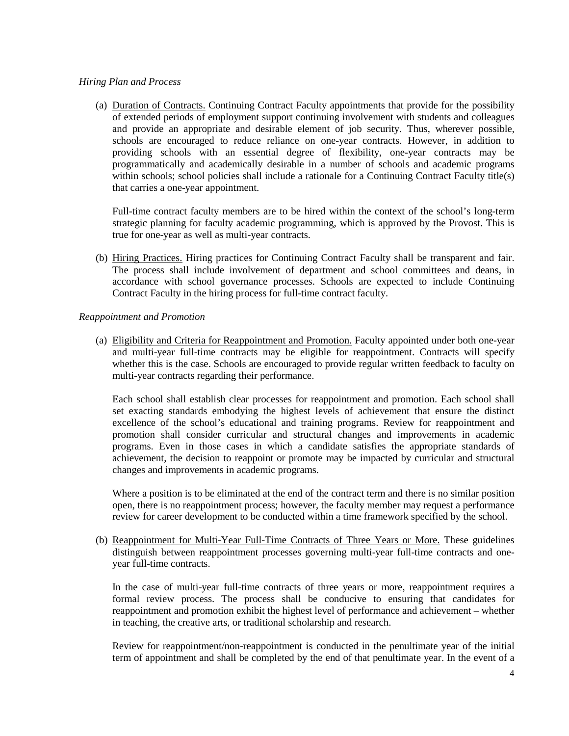## *Hiring Plan and Process*

(a) Duration of Contracts. Continuing Contract Faculty appointments that provide for the possibility of extended periods of employment support continuing involvement with students and colleagues and provide an appropriate and desirable element of job security. Thus, wherever possible, schools are encouraged to reduce reliance on one-year contracts. However, in addition to providing schools with an essential degree of flexibility, one-year contracts may be programmatically and academically desirable in a number of schools and academic programs within schools; school policies shall include a rationale for a Continuing Contract Faculty title(s) that carries a one-year appointment.

Full-time contract faculty members are to be hired within the context of the school's long-term strategic planning for faculty academic programming, which is approved by the Provost. This is true for one-year as well as multi-year contracts.

(b) Hiring Practices. Hiring practices for Continuing Contract Faculty shall be transparent and fair. The process shall include involvement of department and school committees and deans, in accordance with school governance processes. Schools are expected to include Continuing Contract Faculty in the hiring process for full-time contract faculty.

## *Reappointment and Promotion*

(a) Eligibility and Criteria for Reappointment and Promotion. Faculty appointed under both one-year and multi-year full-time contracts may be eligible for reappointment. Contracts will specify whether this is the case. Schools are encouraged to provide regular written feedback to faculty on multi-year contracts regarding their performance.

Each school shall establish clear processes for reappointment and promotion. Each school shall set exacting standards embodying the highest levels of achievement that ensure the distinct excellence of the school's educational and training programs. Review for reappointment and promotion shall consider curricular and structural changes and improvements in academic programs. Even in those cases in which a candidate satisfies the appropriate standards of achievement, the decision to reappoint or promote may be impacted by curricular and structural changes and improvements in academic programs.

Where a position is to be eliminated at the end of the contract term and there is no similar position open, there is no reappointment process; however, the faculty member may request a performance review for career development to be conducted within a time framework specified by the school.

(b) Reappointment for Multi-Year Full-Time Contracts of Three Years or More. These guidelines distinguish between reappointment processes governing multi-year full-time contracts and oneyear full-time contracts.

In the case of multi-year full-time contracts of three years or more, reappointment requires a formal review process. The process shall be conducive to ensuring that candidates for reappointment and promotion exhibit the highest level of performance and achievement – whether in teaching, the creative arts, or traditional scholarship and research.

Review for reappointment/non-reappointment is conducted in the penultimate year of the initial term of appointment and shall be completed by the end of that penultimate year. In the event of a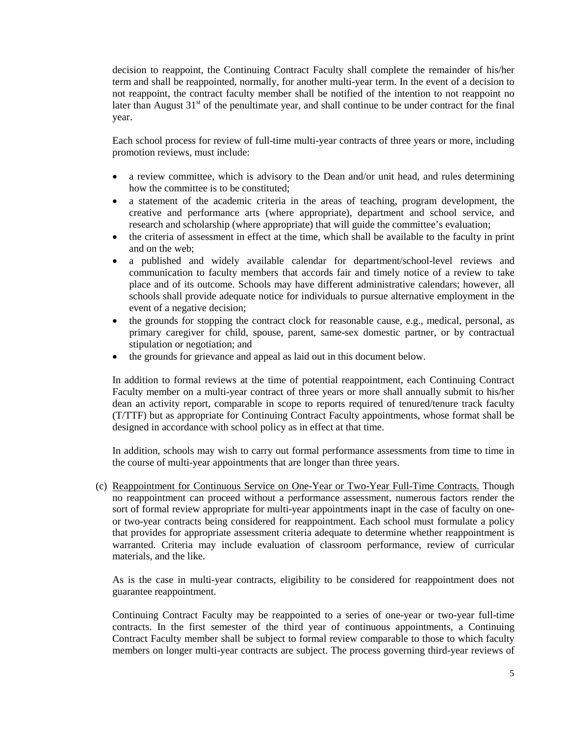decision to reappoint, the Continuing Contract Faculty shall complete the remainder of his/her term and shall be reappointed, normally, for another multi-year term. In the event of a decision to not reappoint, the contract faculty member shall be notified of the intention to not reappoint no later than August  $31<sup>st</sup>$  of the penultimate year, and shall continue to be under contract for the final year.

Each school process for review of full-time multi-year contracts of three years or more, including promotion reviews, must include:

- a review committee, which is advisory to the Dean and/or unit head, and rules determining how the committee is to be constituted;
- a statement of the academic criteria in the areas of teaching, program development, the creative and performance arts (where appropriate), department and school service, and research and scholarship (where appropriate) that will guide the committee's evaluation;
- the criteria of assessment in effect at the time, which shall be available to the faculty in print and on the web;
- a published and widely available calendar for department/school-level reviews and communication to faculty members that accords fair and timely notice of a review to take place and of its outcome. Schools may have different administrative calendars; however, all schools shall provide adequate notice for individuals to pursue alternative employment in the event of a negative decision;
- the grounds for stopping the contract clock for reasonable cause, e.g., medical, personal, as primary caregiver for child, spouse, parent, same-sex domestic partner, or by contractual stipulation or negotiation; and
- the grounds for grievance and appeal as laid out in this document below.

In addition to formal reviews at the time of potential reappointment, each Continuing Contract Faculty member on a multi-year contract of three years or more shall annually submit to his/her dean an activity report, comparable in scope to reports required of tenured/tenure track faculty (T/TTF) but as appropriate for Continuing Contract Faculty appointments, whose format shall be designed in accordance with school policy as in effect at that time.

In addition, schools may wish to carry out formal performance assessments from time to time in the course of multi-year appointments that are longer than three years.

(c) Reappointment for Continuous Service on One-Year or Two-Year Full-Time Contracts. Though no reappointment can proceed without a performance assessment, numerous factors render the sort of formal review appropriate for multi-year appointments inapt in the case of faculty on oneor two-year contracts being considered for reappointment. Each school must formulate a policy that provides for appropriate assessment criteria adequate to determine whether reappointment is warranted. Criteria may include evaluation of classroom performance, review of curricular materials, and the like.

As is the case in multi-year contracts, eligibility to be considered for reappointment does not guarantee reappointment.

Continuing Contract Faculty may be reappointed to a series of one-year or two-year full-time contracts. In the first semester of the third year of continuous appointments, a Continuing Contract Faculty member shall be subject to formal review comparable to those to which faculty members on longer multi-year contracts are subject. The process governing third-year reviews of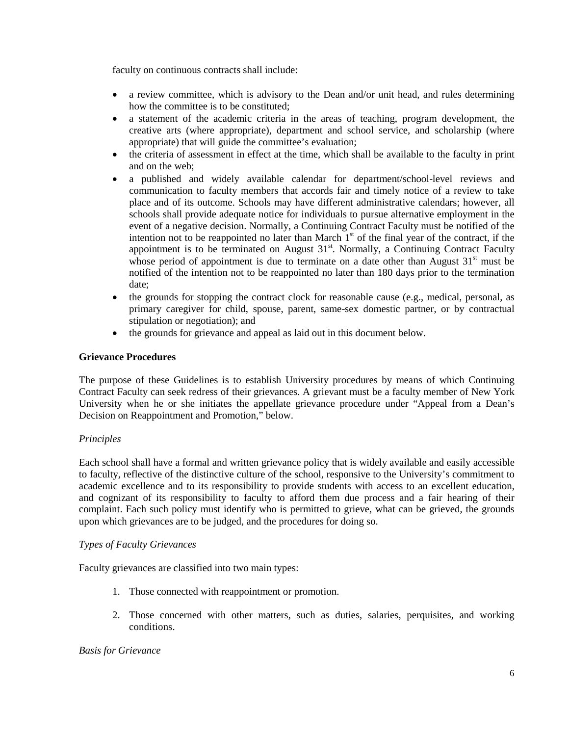faculty on continuous contracts shall include:

- a review committee, which is advisory to the Dean and/or unit head, and rules determining how the committee is to be constituted;
- a statement of the academic criteria in the areas of teaching, program development, the creative arts (where appropriate), department and school service, and scholarship (where appropriate) that will guide the committee's evaluation;
- the criteria of assessment in effect at the time, which shall be available to the faculty in print and on the web;
- a published and widely available calendar for department/school-level reviews and communication to faculty members that accords fair and timely notice of a review to take place and of its outcome. Schools may have different administrative calendars; however, all schools shall provide adequate notice for individuals to pursue alternative employment in the event of a negative decision. Normally, a Continuing Contract Faculty must be notified of the intention not to be reappointed no later than March  $1<sup>st</sup>$  of the final year of the contract, if the appointment is to be terminated on August  $31<sup>st</sup>$ . Normally, a Continuing Contract Faculty whose period of appointment is due to terminate on a date other than August  $31<sup>st</sup>$  must be notified of the intention not to be reappointed no later than 180 days prior to the termination date;
- the grounds for stopping the contract clock for reasonable cause (e.g., medical, personal, as primary caregiver for child, spouse, parent, same-sex domestic partner, or by contractual stipulation or negotiation); and
- the grounds for grievance and appeal as laid out in this document below.

# **Grievance Procedures**

The purpose of these Guidelines is to establish University procedures by means of which Continuing Contract Faculty can seek redress of their grievances. A grievant must be a faculty member of New York University when he or she initiates the appellate grievance procedure under "Appeal from a Dean's Decision on Reappointment and Promotion," below.

# *Principles*

Each school shall have a formal and written grievance policy that is widely available and easily accessible to faculty, reflective of the distinctive culture of the school, responsive to the University's commitment to academic excellence and to its responsibility to provide students with access to an excellent education, and cognizant of its responsibility to faculty to afford them due process and a fair hearing of their complaint. Each such policy must identify who is permitted to grieve, what can be grieved, the grounds upon which grievances are to be judged, and the procedures for doing so.

# *Types of Faculty Grievances*

Faculty grievances are classified into two main types:

- 1. Those connected with reappointment or promotion.
- 2. Those concerned with other matters, such as duties, salaries, perquisites, and working conditions.

# *Basis for Grievance*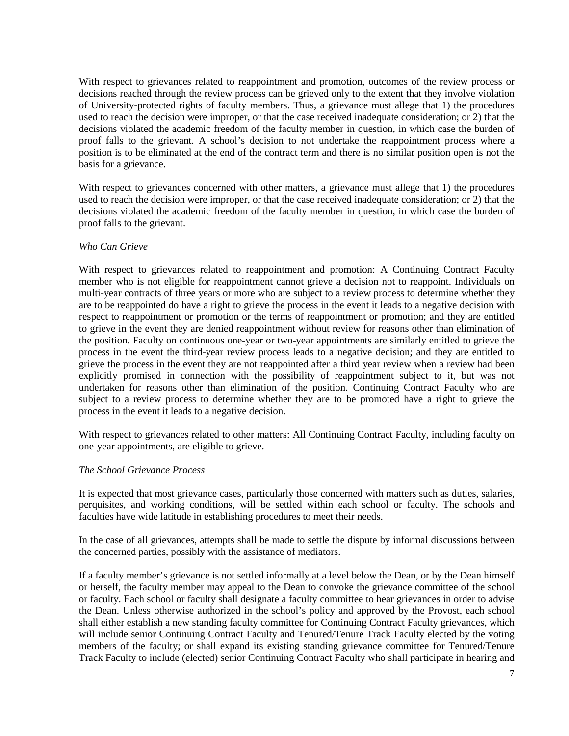With respect to grievances related to reappointment and promotion, outcomes of the review process or decisions reached through the review process can be grieved only to the extent that they involve violation of University-protected rights of faculty members. Thus, a grievance must allege that 1) the procedures used to reach the decision were improper, or that the case received inadequate consideration; or 2) that the decisions violated the academic freedom of the faculty member in question, in which case the burden of proof falls to the grievant. A school's decision to not undertake the reappointment process where a position is to be eliminated at the end of the contract term and there is no similar position open is not the basis for a grievance.

With respect to grievances concerned with other matters, a grievance must allege that 1) the procedures used to reach the decision were improper, or that the case received inadequate consideration; or 2) that the decisions violated the academic freedom of the faculty member in question, in which case the burden of proof falls to the grievant.

## *Who Can Grieve*

With respect to grievances related to reappointment and promotion: A Continuing Contract Faculty member who is not eligible for reappointment cannot grieve a decision not to reappoint. Individuals on multi-year contracts of three years or more who are subject to a review process to determine whether they are to be reappointed do have a right to grieve the process in the event it leads to a negative decision with respect to reappointment or promotion or the terms of reappointment or promotion; and they are entitled to grieve in the event they are denied reappointment without review for reasons other than elimination of the position. Faculty on continuous one-year or two-year appointments are similarly entitled to grieve the process in the event the third-year review process leads to a negative decision; and they are entitled to grieve the process in the event they are not reappointed after a third year review when a review had been explicitly promised in connection with the possibility of reappointment subject to it, but was not undertaken for reasons other than elimination of the position. Continuing Contract Faculty who are subject to a review process to determine whether they are to be promoted have a right to grieve the process in the event it leads to a negative decision.

With respect to grievances related to other matters: All Continuing Contract Faculty, including faculty on one-year appointments, are eligible to grieve.

## *The School Grievance Process*

It is expected that most grievance cases, particularly those concerned with matters such as duties, salaries, perquisites, and working conditions, will be settled within each school or faculty. The schools and faculties have wide latitude in establishing procedures to meet their needs.

In the case of all grievances, attempts shall be made to settle the dispute by informal discussions between the concerned parties, possibly with the assistance of mediators.

If a faculty member's grievance is not settled informally at a level below the Dean, or by the Dean himself or herself, the faculty member may appeal to the Dean to convoke the grievance committee of the school or faculty. Each school or faculty shall designate a faculty committee to hear grievances in order to advise the Dean. Unless otherwise authorized in the school's policy and approved by the Provost, each school shall either establish a new standing faculty committee for Continuing Contract Faculty grievances, which will include senior Continuing Contract Faculty and Tenured/Tenure Track Faculty elected by the voting members of the faculty; or shall expand its existing standing grievance committee for Tenured/Tenure Track Faculty to include (elected) senior Continuing Contract Faculty who shall participate in hearing and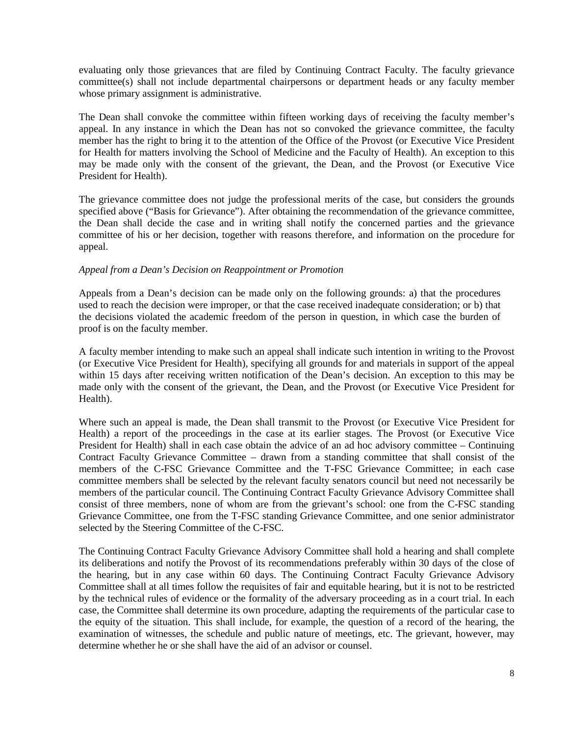evaluating only those grievances that are filed by Continuing Contract Faculty. The faculty grievance committee(s) shall not include departmental chairpersons or department heads or any faculty member whose primary assignment is administrative.

The Dean shall convoke the committee within fifteen working days of receiving the faculty member's appeal. In any instance in which the Dean has not so convoked the grievance committee, the faculty member has the right to bring it to the attention of the Office of the Provost (or Executive Vice President for Health for matters involving the School of Medicine and the Faculty of Health). An exception to this may be made only with the consent of the grievant, the Dean, and the Provost (or Executive Vice President for Health).

The grievance committee does not judge the professional merits of the case, but considers the grounds specified above ("Basis for Grievance"). After obtaining the recommendation of the grievance committee, the Dean shall decide the case and in writing shall notify the concerned parties and the grievance committee of his or her decision, together with reasons therefore, and information on the procedure for appeal.

## *Appeal from a Dean's Decision on Reappointment or Promotion*

Appeals from a Dean's decision can be made only on the following grounds: a) that the procedures used to reach the decision were improper, or that the case received inadequate consideration; or b) that the decisions violated the academic freedom of the person in question, in which case the burden of proof is on the faculty member.

A faculty member intending to make such an appeal shall indicate such intention in writing to the Provost (or Executive Vice President for Health), specifying all grounds for and materials in support of the appeal within 15 days after receiving written notification of the Dean's decision. An exception to this may be made only with the consent of the grievant, the Dean, and the Provost (or Executive Vice President for Health).

Where such an appeal is made, the Dean shall transmit to the Provost (or Executive Vice President for Health) a report of the proceedings in the case at its earlier stages. The Provost (or Executive Vice President for Health) shall in each case obtain the advice of an ad hoc advisory committee – Continuing Contract Faculty Grievance Committee – drawn from a standing committee that shall consist of the members of the C-FSC Grievance Committee and the T-FSC Grievance Committee; in each case committee members shall be selected by the relevant faculty senators council but need not necessarily be members of the particular council. The Continuing Contract Faculty Grievance Advisory Committee shall consist of three members, none of whom are from the grievant's school: one from the C-FSC standing Grievance Committee, one from the T-FSC standing Grievance Committee, and one senior administrator selected by the Steering Committee of the C-FSC.

The Continuing Contract Faculty Grievance Advisory Committee shall hold a hearing and shall complete its deliberations and notify the Provost of its recommendations preferably within 30 days of the close of the hearing, but in any case within 60 days. The Continuing Contract Faculty Grievance Advisory Committee shall at all times follow the requisites of fair and equitable hearing, but it is not to be restricted by the technical rules of evidence or the formality of the adversary proceeding as in a court trial. In each case, the Committee shall determine its own procedure, adapting the requirements of the particular case to the equity of the situation. This shall include, for example, the question of a record of the hearing, the examination of witnesses, the schedule and public nature of meetings, etc. The grievant, however, may determine whether he or she shall have the aid of an advisor or counsel.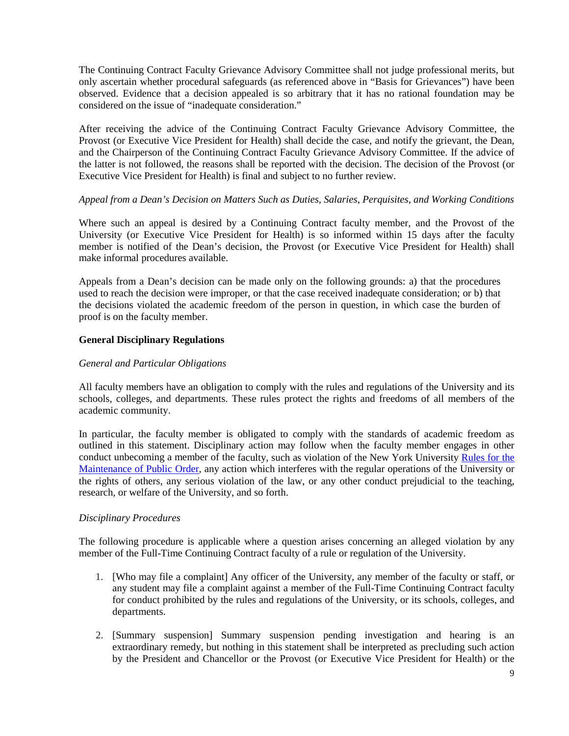The Continuing Contract Faculty Grievance Advisory Committee shall not judge professional merits, but only ascertain whether procedural safeguards (as referenced above in "Basis for Grievances") have been observed. Evidence that a decision appealed is so arbitrary that it has no rational foundation may be considered on the issue of "inadequate consideration."

After receiving the advice of the Continuing Contract Faculty Grievance Advisory Committee, the Provost (or Executive Vice President for Health) shall decide the case, and notify the grievant, the Dean, and the Chairperson of the Continuing Contract Faculty Grievance Advisory Committee. If the advice of the latter is not followed, the reasons shall be reported with the decision. The decision of the Provost (or Executive Vice President for Health) is final and subject to no further review.

# *Appeal from a Dean's Decision on Matters Such as Duties, Salaries, Perquisites, and Working Conditions*

Where such an appeal is desired by a Continuing Contract faculty member, and the Provost of the University (or Executive Vice President for Health) is so informed within 15 days after the faculty member is notified of the Dean's decision, the Provost (or Executive Vice President for Health) shall make informal procedures available.

Appeals from a Dean's decision can be made only on the following grounds: a) that the procedures used to reach the decision were improper, or that the case received inadequate consideration; or b) that the decisions violated the academic freedom of the person in question, in which case the burden of proof is on the faculty member.

## **General Disciplinary Regulations**

#### *General and Particular Obligations*

All faculty members have an obligation to comply with the rules and regulations of the University and its schools, colleges, and departments. These rules protect the rights and freedoms of all members of the academic community.

In particular, the faculty member is obligated to comply with the standards of academic freedom as outlined in this statement. Disciplinary action may follow when the faculty member engages in other conduct unbecoming a member of the [faculty, such as violation of the New York University](http://www.nyu.edu/about/policies-guidelines-compliance/policies-and-guidelines/rules-for-the-maintenance-of-public-order.html) Rules for the [Maintenance of](http://www.nyu.edu/about/policies-guidelines-compliance/policies-and-guidelines/rules-for-the-maintenance-of-public-order.html) [Public Order, any action which interferes with the regular operations of the Universi](http://www.nyu.edu/about/policies-guidelines-compliance/policies-and-guidelines/rules-for-the-maintenance-of-public-order.html)ty or the rights of others, any serious violation of the law, or any other conduct prejudicial to the teaching, research, or welfare of the University, and so forth.

#### *Disciplinary Procedures*

The following procedure is applicable where a question arises concerning an alleged violation by any member of the Full-Time Continuing Contract faculty of a rule or regulation of the University.

- 1. [Who may file a complaint] Any officer of the University, any member of the faculty or staff, or any student may file a complaint against a member of the Full-Time Continuing Contract faculty for conduct prohibited by the rules and regulations of the University, or its schools, colleges, and departments.
- 2. [Summary suspension] Summary suspension pending investigation and hearing is an extraordinary remedy, but nothing in this statement shall be interpreted as precluding such action by the President and Chancellor or the Provost (or Executive Vice President for Health) or the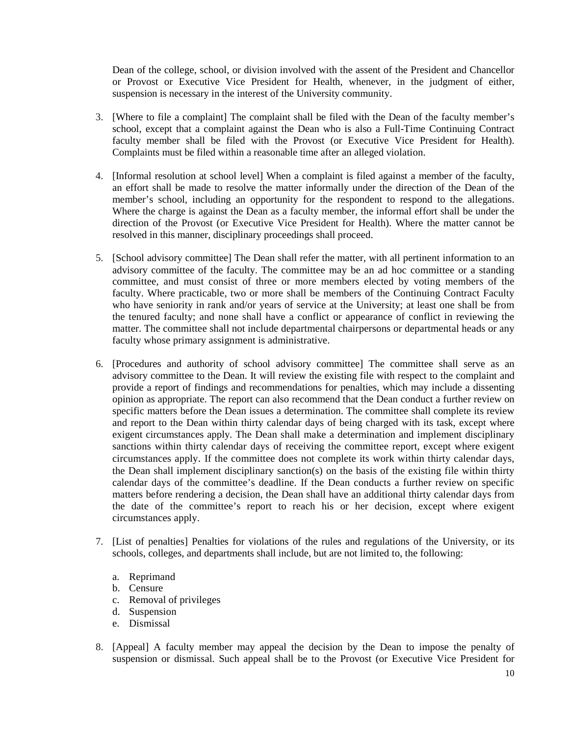Dean of the college, school, or division involved with the assent of the President and Chancellor or Provost or Executive Vice President for Health, whenever, in the judgment of either, suspension is necessary in the interest of the University community.

- 3. [Where to file a complaint] The complaint shall be filed with the Dean of the faculty member's school, except that a complaint against the Dean who is also a Full-Time Continuing Contract faculty member shall be filed with the Provost (or Executive Vice President for Health). Complaints must be filed within a reasonable time after an alleged violation.
- 4. [Informal resolution at school level] When a complaint is filed against a member of the faculty, an effort shall be made to resolve the matter informally under the direction of the Dean of the member's school, including an opportunity for the respondent to respond to the allegations. Where the charge is against the Dean as a faculty member, the informal effort shall be under the direction of the Provost (or Executive Vice President for Health). Where the matter cannot be resolved in this manner, disciplinary proceedings shall proceed.
- 5. [School advisory committee] The Dean shall refer the matter, with all pertinent information to an advisory committee of the faculty. The committee may be an ad hoc committee or a standing committee, and must consist of three or more members elected by voting members of the faculty. Where practicable, two or more shall be members of the Continuing Contract Faculty who have seniority in rank and/or years of service at the University; at least one shall be from the tenured faculty; and none shall have a conflict or appearance of conflict in reviewing the matter. The committee shall not include departmental chairpersons or departmental heads or any faculty whose primary assignment is administrative.
- 6. [Procedures and authority of school advisory committee] The committee shall serve as an advisory committee to the Dean. It will review the existing file with respect to the complaint and provide a report of findings and recommendations for penalties, which may include a dissenting opinion as appropriate. The report can also recommend that the Dean conduct a further review on specific matters before the Dean issues a determination. The committee shall complete its review and report to the Dean within thirty calendar days of being charged with its task, except where exigent circumstances apply. The Dean shall make a determination and implement disciplinary sanctions within thirty calendar days of receiving the committee report, except where exigent circumstances apply. If the committee does not complete its work within thirty calendar days, the Dean shall implement disciplinary sanction(s) on the basis of the existing file within thirty calendar days of the committee's deadline. If the Dean conducts a further review on specific matters before rendering a decision, the Dean shall have an additional thirty calendar days from the date of the committee's report to reach his or her decision, except where exigent circumstances apply.
- 7. [List of penalties] Penalties for violations of the rules and regulations of the University, or its schools, colleges, and departments shall include, but are not limited to, the following:
	- a. Reprimand
	- b. Censure
	- c. Removal of privileges
	- d. Suspension
	- e. Dismissal
- 8. [Appeal] A faculty member may appeal the decision by the Dean to impose the penalty of suspension or dismissal. Such appeal shall be to the Provost (or Executive Vice President for